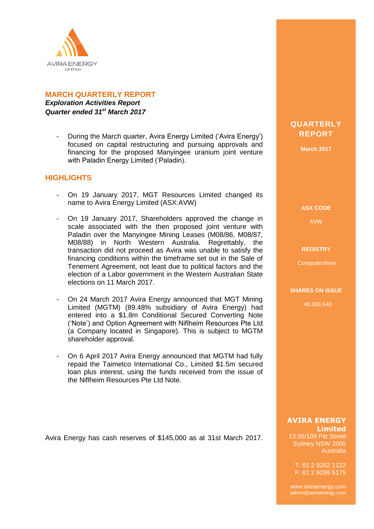

## **MARCH QUARTERLY REPORT**

*Exploration Activities Report Quarter ended 31st March 2017*

> - During the March quarter, Avira Energy Limited ('Avira Energy') focused on capital restructuring and pursuing approvals and financing for the proposed Manyingee uranium joint venture with Paladin Energy Limited ('Paladin).

## **HIGHLIGHTS**

- On 19 January 2017, MGT Resources Limited changed its name to Avira Energy Limited (ASX:AVW)
- On 19 January 2017, Shareholders approved the change in scale associated with the then proposed joint venture with Paladin over the Manyingee Mining Leases (M08/86, M08/87, M08/88) in North Western Australia. Regrettably, the transaction did not proceed as Avira was unable to satisfy the financing conditions within the timeframe set out in the Sale of Tenement Agreement, not least due to political factors and the election of a Labor government in the Western Australian State elections on 11 March 2017.
- On 24 March 2017 Avira Energy announced that MGT Mining Limited (MGTM) (89.48% subsidiary of Avira Energy) had entered into a \$1.8m Conditional Secured Converting Note ('Note') and Option Agreement with Niflheim Resources Pte Ltd (a Company located in Singapore). This is subject to MGTM shareholder approval.
- On 6 April 2017 Avira Energy announced that MGTM had fully repaid the Taimetco International Co., Limited \$1.5m secured loan plus interest, using the funds received from the issue of the Niflheim Resources Pte Ltd Note.

Avira Energy has cash reserves of \$145,000 as at 31st March 2017.

# **QUARTERLY REPORT**

**March 2017**

**ASX CODE**

AVW

#### **REGISTRY**

**Computershare** 

#### **SHARES ON ISSUE**

48,306,640

### **AVIRA ENERGY Limited**

13.05/109 Pitt Street Sydney NSW 2000 Australia

T: 61 2 9262 1122 F: 61 2 9299 5175

www.aviraenergy.com admin@aviraenergy.com

ABN: 38 131 715 645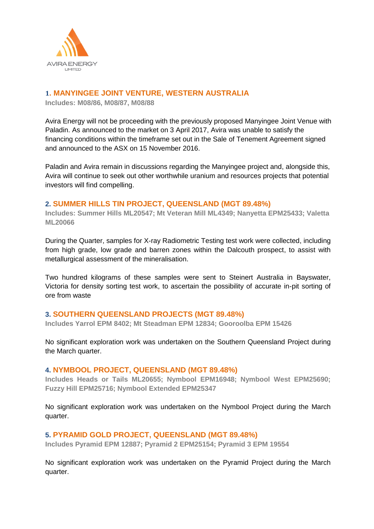

# **1. MANYINGEE JOINT VENTURE, WESTERN AUSTRALIA**

**Includes: M08/86, M08/87, M08/88**

Avira Energy will not be proceeding with the previously proposed Manyingee Joint Venue with Paladin. As announced to the market on 3 April 2017, Avira was unable to satisfy the financing conditions within the timeframe set out in the Sale of Tenement Agreement signed and announced to the ASX on 15 November 2016.

Paladin and Avira remain in discussions regarding the Manyingee project and, alongside this, Avira will continue to seek out other worthwhile uranium and resources projects that potential investors will find compelling.

## **2. SUMMER HILLS TIN PROJECT, QUEENSLAND (MGT 89.48%)**

**Includes: Summer Hills ML20547; Mt Veteran Mill ML4349; Nanyetta EPM25433; Valetta ML20066**

During the Quarter, samples for X-ray Radiometric Testing test work were collected, including from high grade, low grade and barren zones within the Dalcouth prospect, to assist with metallurgical assessment of the mineralisation.

Two hundred kilograms of these samples were sent to Steinert Australia in Bayswater, Victoria for density sorting test work, to ascertain the possibility of accurate in-pit sorting of ore from waste

### **3. SOUTHERN QUEENSLAND PROJECTS (MGT 89.48%)**

**Includes Yarrol EPM 8402; Mt Steadman EPM 12834; Gooroolba EPM 15426**

No significant exploration work was undertaken on the Southern Queensland Project during the March quarter.

### **4. NYMBOOL PROJECT, QUEENSLAND (MGT 89.48%)**

**Includes Heads or Tails ML20655; Nymbool EPM16948; Nymbool West EPM25690; Fuzzy Hill EPM25716; Nymbool Extended EPM25347**

No significant exploration work was undertaken on the Nymbool Project during the March quarter.

## **5. PYRAMID GOLD PROJECT, QUEENSLAND (MGT 89.48%)**

**Includes Pyramid EPM 12887; Pyramid 2 EPM25154; Pyramid 3 EPM 19554**

No significant exploration work was undertaken on the Pyramid Project during the March quarter.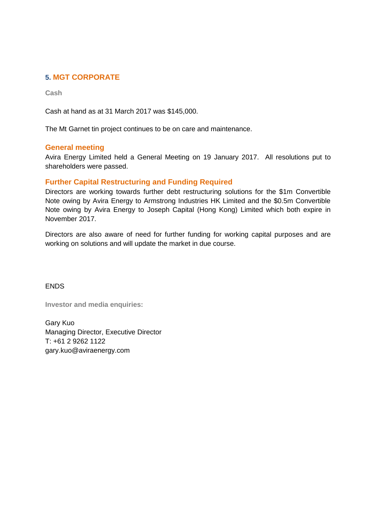## **5. MGT CORPORATE**

**Cash**

Cash at hand as at 31 March 2017 was \$145,000.

The Mt Garnet tin project continues to be on care and maintenance.

### **General meeting**

Avira Energy Limited held a General Meeting on 19 January 2017. All resolutions put to shareholders were passed.

## **Further Capital Restructuring and Funding Required**

Directors are working towards further debt restructuring solutions for the \$1m Convertible Note owing by Avira Energy to Armstrong Industries HK Limited and the \$0.5m Convertible Note owing by Avira Energy to Joseph Capital (Hong Kong) Limited which both expire in November 2017.

Directors are also aware of need for further funding for working capital purposes and are working on solutions and will update the market in due course.

**ENDS** 

**Investor and media enquiries:**

Gary Kuo Managing Director, Executive Director T: +61 2 9262 1122 gary.kuo@aviraenergy.com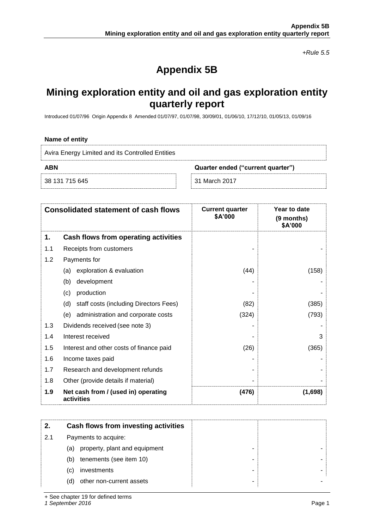*+Rule 5.5*

# **Appendix 5B**

# **Mining exploration entity and oil and gas exploration entity quarterly report**

Introduced 01/07/96 Origin Appendix 8 Amended 01/07/97, 01/07/98, 30/09/01, 01/06/10, 17/12/10, 01/05/13, 01/09/16

#### **Name of entity**

| Avira Energy Limited and its Controlled Entities |                                   |
|--------------------------------------------------|-----------------------------------|
| <b>ABN</b>                                       | Quarter ended ("current quarter") |
| 38 131 715 645                                   | 31 March 2017                     |

| <b>Consolidated statement of cash flows</b> |                                                   | <b>Current quarter</b><br>\$A'000 | Year to date<br>(9 months)<br>\$A'000 |
|---------------------------------------------|---------------------------------------------------|-----------------------------------|---------------------------------------|
| 1.                                          | Cash flows from operating activities              |                                   |                                       |
| 1.1                                         | Receipts from customers                           |                                   |                                       |
| 1.2                                         | Payments for                                      |                                   |                                       |
|                                             | exploration & evaluation<br>(a)                   | (44)                              | (158)                                 |
|                                             | development<br>(b)                                |                                   |                                       |
|                                             | production<br>(c)                                 |                                   |                                       |
|                                             | staff costs (including Directors Fees)<br>(d)     | (82)                              | (385)                                 |
|                                             | administration and corporate costs<br>(e)         | (324)                             | (793)                                 |
| 1.3                                         | Dividends received (see note 3)                   |                                   |                                       |
| 1.4                                         | Interest received                                 |                                   | 3                                     |
| 1.5                                         | Interest and other costs of finance paid          | (26)                              | (365)                                 |
| 1.6                                         | Income taxes paid                                 |                                   |                                       |
| 1.7                                         | Research and development refunds                  |                                   |                                       |
| 1.8                                         | Other (provide details if material)               |                                   |                                       |
| 1.9                                         | Net cash from / (used in) operating<br>activities | (476)                             | (1,698)                               |

|     | Cash flows from investing activities      |
|-----|-------------------------------------------|
| 2.1 | Payments to acquire:                      |
|     | property, plant and equipment<br>(a)<br>- |
|     | tenements (see item 10)<br>(b)            |
|     | investments<br>(C)                        |
|     | other non-current assets<br>(d)           |

+ See chapter 19 for defined terms

*1 September 2016* Page 1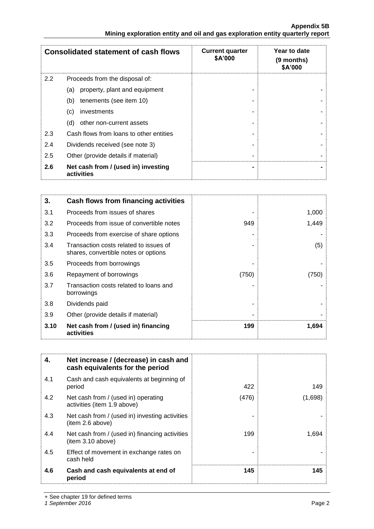|     | <b>Consolidated statement of cash flows</b>       | <b>Current quarter</b><br>\$A'000 | Year to date<br>(9 months)<br>\$A'000 |
|-----|---------------------------------------------------|-----------------------------------|---------------------------------------|
| 2.2 | Proceeds from the disposal of:                    |                                   |                                       |
|     | property, plant and equipment<br>(a)              |                                   |                                       |
|     | (b)<br>tenements (see item 10)                    |                                   |                                       |
|     | investments<br>(c)                                |                                   |                                       |
|     | other non-current assets<br>(d)                   |                                   |                                       |
| 2.3 | Cash flows from loans to other entities           |                                   |                                       |
| 2.4 | Dividends received (see note 3)                   |                                   |                                       |
| 2.5 | Other (provide details if material)               |                                   |                                       |
| 2.6 | Net cash from / (used in) investing<br>activities |                                   |                                       |

| 3.   | Cash flows from financing activities                                           |       |       |
|------|--------------------------------------------------------------------------------|-------|-------|
| 3.1  | Proceeds from issues of shares                                                 |       | 1,000 |
| 3.2  | Proceeds from issue of convertible notes                                       | 949   | 1,449 |
| 3.3  | Proceeds from exercise of share options                                        |       |       |
| 3.4  | Transaction costs related to issues of<br>shares, convertible notes or options |       | (5)   |
| 3.5  | Proceeds from borrowings                                                       |       |       |
| 3.6  | Repayment of borrowings                                                        | (750) | (750) |
| 3.7  | Transaction costs related to loans and<br>borrowings                           |       |       |
| 3.8  | Dividends paid                                                                 |       |       |
| 3.9  | Other (provide details if material)                                            |       |       |
| 3.10 | Net cash from / (used in) financing<br>activities                              | 199   | 1,694 |

| 4.  | Net increase / (decrease) in cash and<br>cash equivalents for the period |       |         |
|-----|--------------------------------------------------------------------------|-------|---------|
| 4.1 | Cash and cash equivalents at beginning of<br>period                      | 422   | 149     |
| 4.2 | Net cash from / (used in) operating<br>activities (item 1.9 above)       | (476) | (1,698) |
| 4.3 | Net cash from / (used in) investing activities<br>(item 2.6 above)       |       |         |
| 4.4 | Net cash from / (used in) financing activities<br>item 3.10 above)       | 199   | 1,694   |
| 4.5 | Effect of movement in exchange rates on<br>cash held                     |       |         |
| 4.6 | Cash and cash equivalents at end of<br>period                            | 145   | 145     |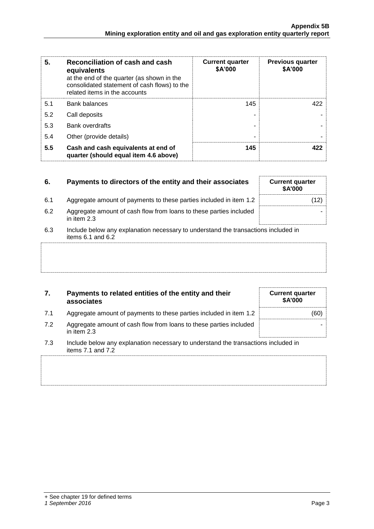| 5.<br>Reconciliation of cash and cash<br>equivalents<br>at the end of the quarter (as shown in the<br>consolidated statement of cash flows) to the<br>related items in the accounts |                                                                              | <b>Current quarter</b><br>\$A'000 | <b>Previous quarter</b><br>\$A'000 |
|-------------------------------------------------------------------------------------------------------------------------------------------------------------------------------------|------------------------------------------------------------------------------|-----------------------------------|------------------------------------|
| 5.1                                                                                                                                                                                 | <b>Bank balances</b>                                                         | 145                               | 422                                |
| 5.2                                                                                                                                                                                 | Call deposits                                                                |                                   |                                    |
| 5.3                                                                                                                                                                                 | <b>Bank overdrafts</b>                                                       |                                   |                                    |
| 5.4                                                                                                                                                                                 | Other (provide details)                                                      |                                   |                                    |
| 5.5                                                                                                                                                                                 | Cash and cash equivalents at end of<br>quarter (should equal item 4.6 above) | 145                               | 422                                |

| 6.  | Payments to directors of the entity and their associates                                                    | <b>Current quarter</b><br><b>\$A'000</b> |
|-----|-------------------------------------------------------------------------------------------------------------|------------------------------------------|
| 6.1 | Aggregate amount of payments to these parties included in item 1.2                                          |                                          |
| 6.2 | Aggregate amount of cash flow from loans to these parties included<br>in item 2.3                           |                                          |
| 6.3 | Include below any explanation necessary to understand the transactions included in<br>items $6.1$ and $6.2$ |                                          |
|     |                                                                                                             |                                          |

## **7. Payments to related entities of the entity and their associates**

- 7.1 Aggregate amount of payments to these parties included in item 1.2  $\vert$  (60)
- 7.2 Aggregate amount of cash flow from loans to in item 2.3

| es included in item 1.2.               |  |
|----------------------------------------|--|
| these parties included                 |  |
| nderstand the transactions included in |  |

**Current quarter \$A'000**

7.3 Include below any explanation necessary to understand the transactions included in items 7.1 and 7.2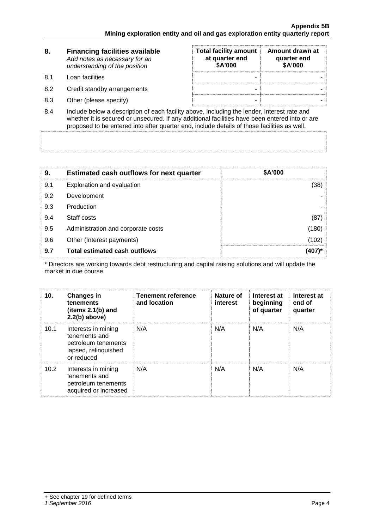| 8.  | <b>Financing facilities available</b><br>Add notes as necessary for an<br>understanding of the position | <b>Total facility amount</b><br>at quarter end<br>\$A'000 | Amount drawn at<br>quarter end<br>\$A'000 |
|-----|---------------------------------------------------------------------------------------------------------|-----------------------------------------------------------|-------------------------------------------|
| 8.1 | Loan facilities                                                                                         |                                                           |                                           |
| 8.2 | Credit standby arrangements                                                                             |                                                           |                                           |
| 8.3 | Other (please specify)                                                                                  | -                                                         |                                           |

8.4 Include below a description of each facility above, including the lender, interest rate and whether it is secured or unsecured. If any additional facilities have been entered into or are proposed to be entered into after quarter end, include details of those facilities as well.

| 9.  | <b>Estimated cash outflows for next quarter</b> | \$A'000 |
|-----|-------------------------------------------------|---------|
| 9.1 | Exploration and evaluation                      | (38)    |
| 9.2 | Development                                     |         |
| 9.3 | Production                                      |         |
| 9.4 | Staff costs                                     | (87)    |
| 9.5 | Administration and corporate costs              | (180)   |
| 9.6 | Other (Interest payments)                       | (102)   |
| 9.7 | <b>Total estimated cash outflows</b>            | (407)*  |

\* Directors are working towards debt restructuring and capital raising solutions and will update the market in due course.

| 10.  | <b>Changes in</b><br>tenements<br>(items $2.1(b)$ and<br>$2.2(b)$ above)                          | <b>Tenement reference</b><br>and location | Nature of<br>interest | Interest at<br>beginning<br>of quarter | Interest at<br>end of<br>quarter |
|------|---------------------------------------------------------------------------------------------------|-------------------------------------------|-----------------------|----------------------------------------|----------------------------------|
| 10.1 | Interests in mining<br>tenements and<br>petroleum tenements<br>lapsed, relinquished<br>or reduced | N/A                                       | N/A                   | N/A                                    | N/A                              |
| 10.2 | Interests in mining<br>tenements and<br>petroleum tenements<br>acquired or increased              | N/A                                       | N/A                   | N/A                                    | N/A                              |